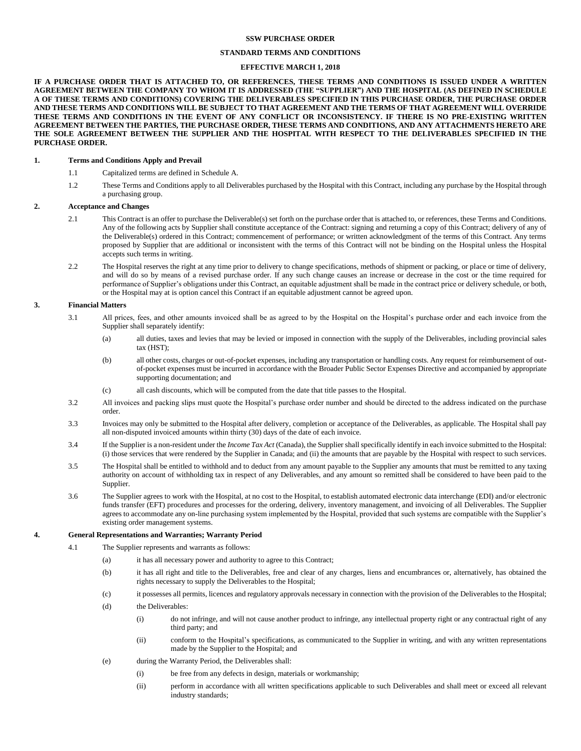## **SSW PURCHASE ORDER**

# **STANDARD TERMS AND CONDITIONS**

## **EFFECTIVE MARCH 1, 2018**

**IF A PURCHASE ORDER THAT IS ATTACHED TO, OR REFERENCES, THESE TERMS AND CONDITIONS IS ISSUED UNDER A WRITTEN AGREEMENT BETWEEN THE COMPANY TO WHOM IT IS ADDRESSED (THE "SUPPLIER") AND THE HOSPITAL (AS DEFINED IN SCHEDULE A OF THESE TERMS AND CONDITIONS) COVERING THE DELIVERABLES SPECIFIED IN THIS PURCHASE ORDER, THE PURCHASE ORDER AND THESE TERMS AND CONDITIONS WILL BE SUBJECT TO THAT AGREEMENT AND THE TERMS OF THAT AGREEMENT WILL OVERRIDE THESE TERMS AND CONDITIONS IN THE EVENT OF ANY CONFLICT OR INCONSISTENCY. IF THERE IS NO PRE-EXISTING WRITTEN AGREEMENT BETWEEN THE PARTIES, THE PURCHASE ORDER, THESE TERMS AND CONDITIONS, AND ANY ATTACHMENTS HERETO ARE THE SOLE AGREEMENT BETWEEN THE SUPPLIER AND THE HOSPITAL WITH RESPECT TO THE DELIVERABLES SPECIFIED IN THE PURCHASE ORDER.**

### **1. Terms and Conditions Apply and Prevail**

- 1.1 Capitalized terms are defined in Schedule A.
- 1.2 These Terms and Conditions apply to all Deliverables purchased by the Hospital with this Contract, including any purchase by the Hospital through a purchasing group.

#### **2. Acceptance and Changes**

- 2.1 This Contract is an offer to purchase the Deliverable(s) set forth on the purchase order that is attached to, or references, these Terms and Conditions. Any of the following acts by Supplier shall constitute acceptance of the Contract: signing and returning a copy of this Contract; delivery of any of the Deliverable(s) ordered in this Contract; commencement of performance; or written acknowledgment of the terms of this Contract. Any terms proposed by Supplier that are additional or inconsistent with the terms of this Contract will not be binding on the Hospital unless the Hospital accepts such terms in writing.
- 2.2 The Hospital reserves the right at any time prior to delivery to change specifications, methods of shipment or packing, or place or time of delivery, and will do so by means of a revised purchase order. If any such change causes an increase or decrease in the cost or the time required for performance of Supplier's obligations under this Contract, an equitable adjustment shall be made in the contract price or delivery schedule, or both, or the Hospital may at is option cancel this Contract if an equitable adjustment cannot be agreed upon.

### **3. Financial Matters**

- 3.1 All prices, fees, and other amounts invoiced shall be as agreed to by the Hospital on the Hospital's purchase order and each invoice from the Supplier shall separately identify:
	- (a) all duties, taxes and levies that may be levied or imposed in connection with the supply of the Deliverables, including provincial sales tax (HST);
	- (b) all other costs, charges or out-of-pocket expenses, including any transportation or handling costs. Any request for reimbursement of outof-pocket expenses must be incurred in accordance with the Broader Public Sector Expenses Directive and accompanied by appropriate supporting documentation; and
	- (c) all cash discounts, which will be computed from the date that title passes to the Hospital.
- 3.2 All invoices and packing slips must quote the Hospital's purchase order number and should be directed to the address indicated on the purchase order.
- 3.3 Invoices may only be submitted to the Hospital after delivery, completion or acceptance of the Deliverables, as applicable. The Hospital shall pay all non-disputed invoiced amounts within thirty (30) days of the date of each invoice.
- 3.4 If the Supplier is a non-resident under the *Income Tax Act* (Canada), the Supplier shall specifically identify in each invoice submitted to the Hospital: (i) those services that were rendered by the Supplier in Canada; and (ii) the amounts that are payable by the Hospital with respect to such services.
- 3.5 The Hospital shall be entitled to withhold and to deduct from any amount payable to the Supplier any amounts that must be remitted to any taxing authority on account of withholding tax in respect of any Deliverables, and any amount so remitted shall be considered to have been paid to the Supplier.
- 3.6 The Supplier agrees to work with the Hospital, at no cost to the Hospital, to establish automated electronic data interchange (EDI) and/or electronic funds transfer (EFT) procedures and processes for the ordering, delivery, inventory management, and invoicing of all Deliverables. The Supplier agrees to accommodate any on-line purchasing system implemented by the Hospital, provided that such systems are compatible with the Supplier's existing order management systems.

### <span id="page-0-0"></span>**4. General Representations and Warranties; Warranty Period**

- 4.1 The Supplier represents and warrants as follows:
	- (a) it has all necessary power and authority to agree to this Contract;
	- (b) it has all right and title to the Deliverables, free and clear of any charges, liens and encumbrances or, alternatively, has obtained the rights necessary to supply the Deliverables to the Hospital;
	- (c) it possesses all permits, licences and regulatory approvals necessary in connection with the provision of the Deliverables to the Hospital;
	- (d) the Deliverables:
		- (i) do not infringe, and will not cause another product to infringe, any intellectual property right or any contractual right of any third party; and
		- (ii) conform to the Hospital's specifications, as communicated to the Supplier in writing, and with any written representations made by the Supplier to the Hospital; and
	- (e) during the Warranty Period, the Deliverables shall:
		- (i) be free from any defects in design, materials or workmanship;
		- (ii) perform in accordance with all written specifications applicable to such Deliverables and shall meet or exceed all relevant industry standards;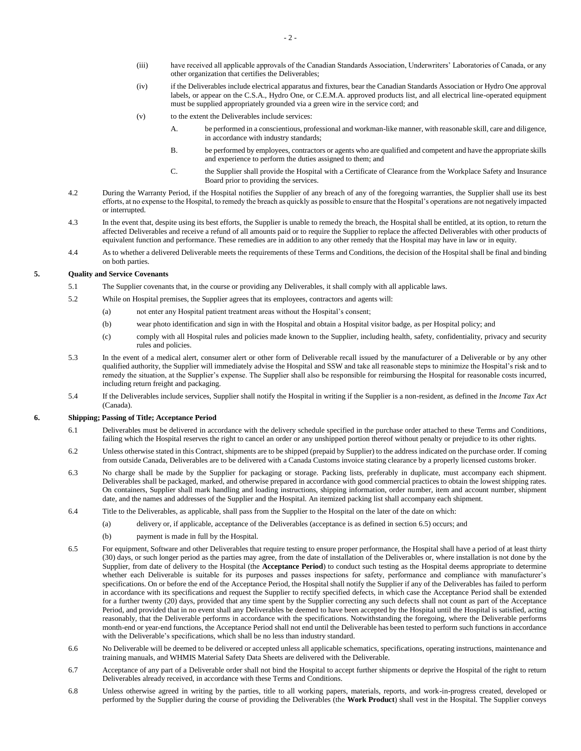- (iii) have received all applicable approvals of the Canadian Standards Association, Underwriters' Laboratories of Canada, or any other organization that certifies the Deliverables;
- (iv) if the Deliverables include electrical apparatus and fixtures, bear the Canadian Standards Association or Hydro One approval labels, or appear on the C.S.A., Hydro One, or C.E.M.A. approved products list, and all electrical line-operated equipment must be supplied appropriately grounded via a green wire in the service cord; and
- (v) to the extent the Deliverables include services:
	- A. be performed in a conscientious, professional and workman-like manner, with reasonable skill, care and diligence, in accordance with industry standards;
	- B. be performed by employees, contractors or agents who are qualified and competent and have the appropriate skills and experience to perform the duties assigned to them; and
	- C. the Supplier shall provide the Hospital with a Certificate of Clearance from the Workplace Safety and Insurance Board prior to providing the services.
- 4.2 During the Warranty Period, if the Hospital notifies the Supplier of any breach of any of the foregoing warranties, the Supplier shall use its best efforts, at no expense to the Hospital, to remedy the breach as quickly as possible to ensure that the Hospital's operations are not negatively impacted or interrupted.
- 4.3 In the event that, despite using its best efforts, the Supplier is unable to remedy the breach, the Hospital shall be entitled, at its option, to return the affected Deliverables and receive a refund of all amounts paid or to require the Supplier to replace the affected Deliverables with other products of equivalent function and performance. These remedies are in addition to any other remedy that the Hospital may have in law or in equity.
- 4.4 As to whether a delivered Deliverable meets the requirements of these Terms and Conditions, the decision of the Hospital shall be final and binding on both parties.

## **5. Quality and Service Covenants**

- 5.1 The Supplier covenants that, in the course or providing any Deliverables, it shall comply with all applicable laws.
- 5.2 While on Hospital premises, the Supplier agrees that its employees, contractors and agents will:
	- (a) not enter any Hospital patient treatment areas without the Hospital's consent;
	- (b) wear photo identification and sign in with the Hospital and obtain a Hospital visitor badge, as per Hospital policy; and
	- (c) comply with all Hospital rules and policies made known to the Supplier, including health, safety, confidentiality, privacy and security rules and policies.
- 5.3 In the event of a medical alert, consumer alert or other form of Deliverable recall issued by the manufacturer of a Deliverable or by any other qualified authority, the Supplier will immediately advise the Hospital and SSW and take all reasonable steps to minimize the Hospital's risk and to remedy the situation, at the Supplier's expense. The Supplier shall also be responsible for reimbursing the Hospital for reasonable costs incurred, including return freight and packaging.
- 5.4 If the Deliverables include services, Supplier shall notify the Hospital in writing if the Supplier is a non-resident, as defined in the *Income Tax Act* (Canada).

### **6. Shipping; Passing of Title; Acceptance Period**

- 6.1 Deliverables must be delivered in accordance with the delivery schedule specified in the purchase order attached to these Terms and Conditions, failing which the Hospital reserves the right to cancel an order or any unshipped portion thereof without penalty or prejudice to its other rights.
- 6.2 Unless otherwise stated in this Contract, shipments are to be shipped (prepaid by Supplier) to the address indicated on the purchase order. If coming from outside Canada, Deliverables are to be delivered with a Canada Customs invoice stating clearance by a properly licensed customs broker.
- 6.3 No charge shall be made by the Supplier for packaging or storage. Packing lists, preferably in duplicate, must accompany each shipment. Deliverables shall be packaged, marked, and otherwise prepared in accordance with good commercial practices to obtain the lowest shipping rates. On containers, Supplier shall mark handling and loading instructions, shipping information, order number, item and account number, shipment date, and the names and addresses of the Supplier and the Hospital. An itemized packing list shall accompany each shipment.
- 6.4 Title to the Deliverables, as applicable, shall pass from the Supplier to the Hospital on the later of the date on which:
	- (a) delivery or, if applicable, acceptance of the Deliverables (acceptance is as defined in sectio[n 6.5\)](#page-1-0) occurs; and
	- (b) payment is made in full by the Hospital.
- <span id="page-1-0"></span>6.5 For equipment, Software and other Deliverables that require testing to ensure proper performance, the Hospital shall have a period of at least thirty (30) days, or such longer period as the parties may agree, from the date of installation of the Deliverables or, where installation is not done by the Supplier, from date of delivery to the Hospital (the **Acceptance Period**) to conduct such testing as the Hospital deems appropriate to determine whether each Deliverable is suitable for its purposes and passes inspections for safety, performance and compliance with manufacturer's specifications. On or before the end of the Acceptance Period, the Hospital shall notify the Supplier if any of the Deliverables has failed to perform in accordance with its specifications and request the Supplier to rectify specified defects, in which case the Acceptance Period shall be extended for a further twenty (20) days, provided that any time spent by the Supplier correcting any such defects shall not count as part of the Acceptance Period, and provided that in no event shall any Deliverables be deemed to have been accepted by the Hospital until the Hospital is satisfied, acting reasonably, that the Deliverable performs in accordance with the specifications. Notwithstanding the foregoing, where the Deliverable performs month-end or year-end functions, the Acceptance Period shall not end until the Deliverable has been tested to perform such functions in accordance with the Deliverable's specifications, which shall be no less than industry standard.
- 6.6 No Deliverable will be deemed to be delivered or accepted unless all applicable schematics, specifications, operating instructions, maintenance and training manuals, and WHMIS Material Safety Data Sheets are delivered with the Deliverable.
- 6.7 Acceptance of any part of a Deliverable order shall not bind the Hospital to accept further shipments or deprive the Hospital of the right to return Deliverables already received, in accordance with these Terms and Conditions.
- 6.8 Unless otherwise agreed in writing by the parties, title to all working papers, materials, reports, and work-in-progress created, developed or performed by the Supplier during the course of providing the Deliverables (the **Work Product**) shall vest in the Hospital. The Supplier conveys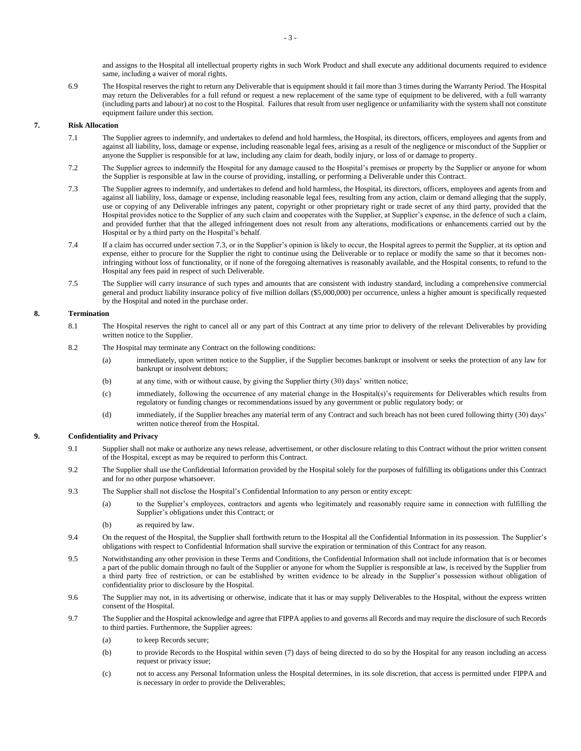and assigns to the Hospital all intellectual property rights in such Work Product and shall execute any additional documents required to evidence same, including a waiver of moral rights.

6.9 The Hospital reserves the right to return any Deliverable that is equipment should it fail more than 3 times during the Warranty Period. The Hospital may return the Deliverables for a full refund or request a new replacement of the same type of equipment to be delivered, with a full warranty (including parts and labour) at no cost to the Hospital. Failures that result from user negligence or unfamiliarity with the system shall not constitute equipment failure under this section.

## **7. Risk Allocation**

- 7.1 The Supplier agrees to indemnify, and undertakes to defend and hold harmless, the Hospital, its directors, officers, employees and agents from and against all liability, loss, damage or expense, including reasonable legal fees, arising as a result of the negligence or misconduct of the Supplier or anyone the Supplier is responsible for at law, including any claim for death, bodily injury, or loss of or damage to property.
- 7.2 The Supplier agrees to indemnify the Hospital for any damage caused to the Hospital's premises or property by the Supplier or anyone for whom the Supplier is responsible at law in the course of providing, installing, or performing a Deliverable under this Contract.
- <span id="page-2-0"></span>7.3 The Supplier agrees to indemnify, and undertakes to defend and hold harmless, the Hospital, its directors, officers, employees and agents from and against all liability, loss, damage or expense, including reasonable legal fees, resulting from any action, claim or demand alleging that the supply, use or copying of any Deliverable infringes any patent, copyright or other proprietary right or trade secret of any third party, provided that the Hospital provides notice to the Supplier of any such claim and cooperates with the Supplier, at Supplier's expense, in the defence of such a claim, and provided further that that the alleged infringement does not result from any alterations, modifications or enhancements carried out by the Hospital or by a third party on the Hospital's behalf.
- 7.4 If a claim has occurred under sectio[n 7.3,](#page-2-0) or in the Supplier's opinion is likely to occur, the Hospital agrees to permit the Supplier, at its option and expense, either to procure for the Supplier the right to continue using the Deliverable or to replace or modify the same so that it becomes noninfringing without loss of functionality, or if none of the foregoing alternatives is reasonably available, and the Hospital consents, to refund to the Hospital any fees paid in respect of such Deliverable.
- 7.5 The Supplier will carry insurance of such types and amounts that are consistent with industry standard, including a comprehensive commercial general and product liability insurance policy of five million dollars (\$5,000,000) per occurrence, unless a higher amount is specifically requested by the Hospital and noted in the purchase order.

### **8. Termination**

- 8.1 The Hospital reserves the right to cancel all or any part of this Contract at any time prior to delivery of the relevant Deliverables by providing written notice to the Supplier.
- 8.2 The Hospital may terminate any Contract on the following conditions:
	- (a) immediately, upon written notice to the Supplier, if the Supplier becomes bankrupt or insolvent or seeks the protection of any law for bankrupt or insolvent debtors;
	- (b) at any time, with or without cause, by giving the Supplier thirty (30) days' written notice;
	- (c) immediately, following the occurrence of any material change in the Hospital(s)'s requirements for Deliverables which results from regulatory or funding changes or recommendations issued by any government or public regulatory body; or
	- (d) immediately, if the Supplier breaches any material term of any Contract and such breach has not been cured following thirty (30) days' written notice thereof from the Hospital.

# **9. Confidentiality and Privacy**

- 9.1 Supplier shall not make or authorize any news release, advertisement, or other disclosure relating to this Contract without the prior written consent of the Hospital, except as may be required to perform this Contract.
- 9.2 The Supplier shall use the Confidential Information provided by the Hospital solely for the purposes of fulfilling its obligations under this Contract and for no other purpose whatsoever.
- 9.3 The Supplier shall not disclose the Hospital's Confidential Information to any person or entity except:
	- (a) to the Supplier's employees, contractors and agents who legitimately and reasonably require same in connection with fulfilling the Supplier's obligations under this Contract; or
	- (b) as required by law.
- 9.4 On the request of the Hospital, the Supplier shall forthwith return to the Hospital all the Confidential Information in its possession. The Supplier's obligations with respect to Confidential Information shall survive the expiration or termination of this Contract for any reason.
- 9.5 Notwithstanding any other provision in these Terms and Conditions, the Confidential Information shall not include information that is or becomes a part of the public domain through no fault of the Supplier or anyone for whom the Supplier is responsible at law, is received by the Supplier from a third party free of restriction, or can be established by written evidence to be already in the Supplier's possession without obligation of confidentiality prior to disclosure by the Hospital.
- 9.6 The Supplier may not, in its advertising or otherwise, indicate that it has or may supply Deliverables to the Hospital, without the express written consent of the Hospital.
- 9.7 The Supplier and the Hospital acknowledge and agree that FIPPA applies to and governs all Records and may require the disclosure of such Records to third parties. Furthermore, the Supplier agrees:
	- (a) to keep Records secure;
	- (b) to provide Records to the Hospital within seven (7) days of being directed to do so by the Hospital for any reason including an access request or privacy issue;
	- (c) not to access any Personal Information unless the Hospital determines, in its sole discretion, that access is permitted under FIPPA and is necessary in order to provide the Deliverables;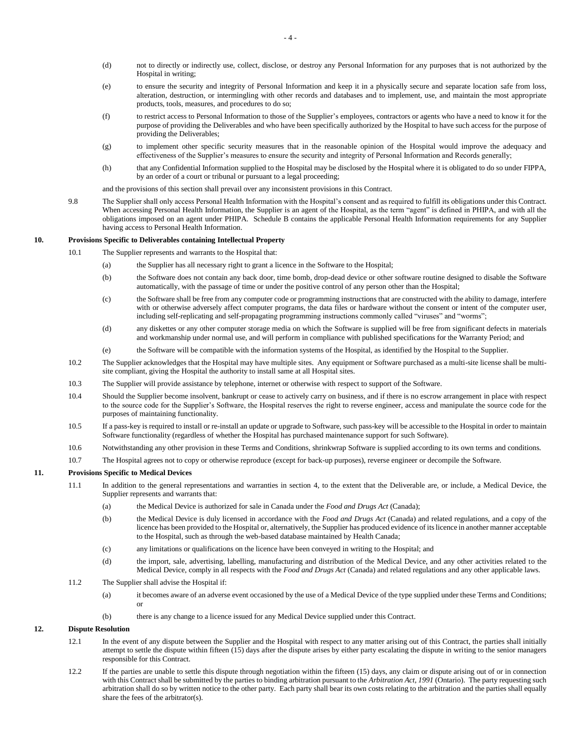- (d) not to directly or indirectly use, collect, disclose, or destroy any Personal Information for any purposes that is not authorized by the Hospital in writing;
- (e) to ensure the security and integrity of Personal Information and keep it in a physically secure and separate location safe from loss, alteration, destruction, or intermingling with other records and databases and to implement, use, and maintain the most appropriate products, tools, measures, and procedures to do so;
- (f) to restrict access to Personal Information to those of the Supplier's employees, contractors or agents who have a need to know it for the purpose of providing the Deliverables and who have been specifically authorized by the Hospital to have such access for the purpose of providing the Deliverables;
- (g) to implement other specific security measures that in the reasonable opinion of the Hospital would improve the adequacy and effectiveness of the Supplier's measures to ensure the security and integrity of Personal Information and Records generally;
- (h) that any Confidential Information supplied to the Hospital may be disclosed by the Hospital where it is obligated to do so under FIPPA, by an order of a court or tribunal or pursuant to a legal proceeding;
- and the provisions of this section shall prevail over any inconsistent provisions in this Contract.
- 9.8 The Supplier shall only access Personal Health Information with the Hospital's consent and as required to fulfill its obligations under this Contract. When accessing Personal Health Information, the Supplier is an agent of the Hospital, as the term "agent" is defined in PHIPA, and with all the obligations imposed on an agent under PHIPA. Schedule B contains the applicable Personal Health Information requirements for any Supplier having access to Personal Health Information.

### **10. Provisions Specific to Deliverables containing Intellectual Property**

- 10.1 The Supplier represents and warrants to the Hospital that:
	- (a) the Supplier has all necessary right to grant a licence in the Software to the Hospital;
	- (b) the Software does not contain any back door, time bomb, drop-dead device or other software routine designed to disable the Software automatically, with the passage of time or under the positive control of any person other than the Hospital;
	- (c) the Software shall be free from any computer code or programming instructions that are constructed with the ability to damage, interfere with or otherwise adversely affect computer programs, the data files or hardware without the consent or intent of the computer user, including self-replicating and self-propagating programming instructions commonly called "viruses" and "worms";
	- (d) any diskettes or any other computer storage media on which the Software is supplied will be free from significant defects in materials and workmanship under normal use, and will perform in compliance with published specifications for the Warranty Period; and
	- (e) the Software will be compatible with the information systems of the Hospital, as identified by the Hospital to the Supplier.
- 10.2 The Supplier acknowledges that the Hospital may have multiple sites. Any equipment or Software purchased as a multi-site license shall be multisite compliant, giving the Hospital the authority to install same at all Hospital sites.
- 10.3 The Supplier will provide assistance by telephone, internet or otherwise with respect to support of the Software.
- 10.4 Should the Supplier become insolvent, bankrupt or cease to actively carry on business, and if there is no escrow arrangement in place with respect to the source code for the Supplier's Software, the Hospital reserves the right to reverse engineer, access and manipulate the source code for the purposes of maintaining functionality.
- 10.5 If a pass-key is required to install or re-install an update or upgrade to Software, such pass-key will be accessible to the Hospital in order to maintain Software functionality (regardless of whether the Hospital has purchased maintenance support for such Software).
- 10.6 Notwithstanding any other provision in these Terms and Conditions, shrinkwrap Software is supplied according to its own terms and conditions.
- 10.7 The Hospital agrees not to copy or otherwise reproduce (except for back-up purposes), reverse engineer or decompile the Software.

## **11. Provisions Specific to Medical Devices**

- 11.1 In addition to the general representations and warranties in section [4,](#page-0-0) to the extent that the Deliverable are, or include, a Medical Device, the Supplier represents and warrants that:
	- (a) the Medical Device is authorized for sale in Canada under the *Food and Drugs Act* (Canada);
	- (b) the Medical Device is duly licensed in accordance with the *Food and Drugs Act* (Canada) and related regulations, and a copy of the licence has been provided to the Hospital or, alternatively, the Supplier has produced evidence of its licence in another manner acceptable to the Hospital, such as through the web-based database maintained by Health Canada;
	- (c) any limitations or qualifications on the licence have been conveyed in writing to the Hospital; and
	- (d) the import, sale, advertising, labelling, manufacturing and distribution of the Medical Device, and any other activities related to the Medical Device, comply in all respects with the *Food and Drugs Act* (Canada) and related regulations and any other applicable laws.
- 11.2 The Supplier shall advise the Hospital if:
	- (a) it becomes aware of an adverse event occasioned by the use of a Medical Device of the type supplied under these Terms and Conditions; or
	- (b) there is any change to a licence issued for any Medical Device supplied under this Contract.

## **12. Dispute Resolution**

- 12.1 In the event of any dispute between the Supplier and the Hospital with respect to any matter arising out of this Contract, the parties shall initially attempt to settle the dispute within fifteen (15) days after the dispute arises by either party escalating the dispute in writing to the senior managers responsible for this Contract.
- 12.2 If the parties are unable to settle this dispute through negotiation within the fifteen (15) days, any claim or dispute arising out of or in connection with this Contract shall be submitted by the parties to binding arbitration pursuant to the *Arbitration Act, 1991* (Ontario). The party requesting such arbitration shall do so by written notice to the other party. Each party shall bear its own costs relating to the arbitration and the parties shall equally share the fees of the arbitrator(s).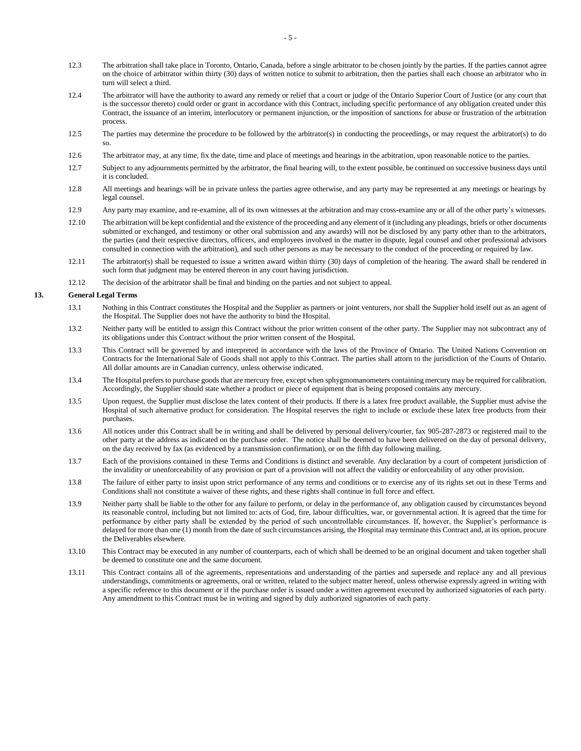- 12.3 The arbitration shall take place in Toronto, Ontario, Canada, before a single arbitrator to be chosen jointly by the parties. If the parties cannot agree on the choice of arbitrator within thirty (30) days of written notice to submit to arbitration, then the parties shall each choose an arbitrator who in turn will select a third.
- 12.4 The arbitrator will have the authority to award any remedy or relief that a court or judge of the Ontario Superior Court of Justice (or any court that is the successor thereto) could order or grant in accordance with this Contract, including specific performance of any obligation created under this Contract, the issuance of an interim, interlocutory or permanent injunction, or the imposition of sanctions for abuse or frustration of the arbitration process.
- 12.5 The parties may determine the procedure to be followed by the arbitrator(s) in conducting the proceedings, or may request the arbitrator(s) to do so.
- 12.6 The arbitrator may, at any time, fix the date, time and place of meetings and hearings in the arbitration, upon reasonable notice to the parties.
- 12.7 Subject to any adjournments permitted by the arbitrator, the final hearing will, to the extent possible, be continued on successive business days until it is concluded.
- 12.8 All meetings and hearings will be in private unless the parties agree otherwise, and any party may be represented at any meetings or hearings by legal counsel.
- 12.9 Any party may examine, and re-examine, all of its own witnesses at the arbitration and may cross-examine any or all of the other party's witnesses.
- 12.10 The arbitration will be kept confidential and the existence of the proceeding and any element of it (including any pleadings, briefs or other documents submitted or exchanged, and testimony or other oral submission and any awards) will not be disclosed by any party other than to the arbitrators, the parties (and their respective directors, officers, and employees involved in the matter in dispute, legal counsel and other professional advisors consulted in connection with the arbitration), and such other persons as may be necessary to the conduct of the proceeding or required by law.
- 12.11 The arbitrator(s) shall be requested to issue a written award within thirty (30) days of completion of the hearing. The award shall be rendered in such form that judgment may be entered thereon in any court having jurisdiction.
- 12.12 The decision of the arbitrator shall be final and binding on the parties and not subject to appeal.

### **13. General Legal Terms**

- 13.1 Nothing in this Contract constitutes the Hospital and the Supplier as partners or joint venturers, nor shall the Supplier hold itself out as an agent of the Hospital. The Supplier does not have the authority to bind the Hospital.
- 13.2 Neither party will be entitled to assign this Contract without the prior written consent of the other party. The Supplier may not subcontract any of its obligations under this Contract without the prior written consent of the Hospital.
- 13.3 This Contract will be governed by and interpreted in accordance with the laws of the Province of Ontario. The United Nations Convention on Contracts for the International Sale of Goods shall not apply to this Contract. The parties shall attorn to the jurisdiction of the Courts of Ontario. All dollar amounts are in Canadian currency, unless otherwise indicated.
- 13.4 The Hospital prefers to purchase goods that are mercury free, except when sphygmomanometers containing mercury may be required for calibration. Accordingly, the Supplier should state whether a product or piece of equipment that is being proposed contains any mercury.
- 13.5 Upon request, the Supplier must disclose the latex content of their products. If there is a latex free product available, the Supplier must advise the Hospital of such alternative product for consideration. The Hospital reserves the right to include or exclude these latex free products from their purchases.
- 13.6 All notices under this Contract shall be in writing and shall be delivered by personal delivery/courier, fax 905-287-2873 or registered mail to the other party at the address as indicated on the purchase order. The notice shall be deemed to have been delivered on the day of personal delivery, on the day received by fax (as evidenced by a transmission confirmation), or on the fifth day following mailing.
- 13.7 Each of the provisions contained in these Terms and Conditions is distinct and severable. Any declaration by a court of competent jurisdiction of the invalidity or unenforceability of any provision or part of a provision will not affect the validity or enforceability of any other provision.
- 13.8 The failure of either party to insist upon strict performance of any terms and conditions or to exercise any of its rights set out in these Terms and Conditions shall not constitute a waiver of these rights, and these rights shall continue in full force and effect.
- 13.9 Neither party shall be liable to the other for any failure to perform, or delay in the performance of, any obligation caused by circumstances beyond its reasonable control, including but not limited to: acts of God, fire, labour difficulties, war, or governmental action. It is agreed that the time for performance by either party shall be extended by the period of such uncontrollable circumstances. If, however, the Supplier's performance is delayed for more than one (1) month from the date of such circumstances arising, the Hospital may terminate this Contract and, at its option, procure the Deliverables elsewhere.
- 13.10 This Contract may be executed in any number of counterparts, each of which shall be deemed to be an original document and taken together shall be deemed to constitute one and the same document.
- 13.11 This Contract contains all of the agreements, representations and understanding of the parties and supersede and replace any and all previous understandings, commitments or agreements, oral or written, related to the subject matter hereof, unless otherwise expressly agreed in writing with a specific reference to this document or if the purchase order is issued under a written agreement executed by authorized signatories of each party. Any amendment to this Contract must be in writing and signed by duly authorized signatories of each party.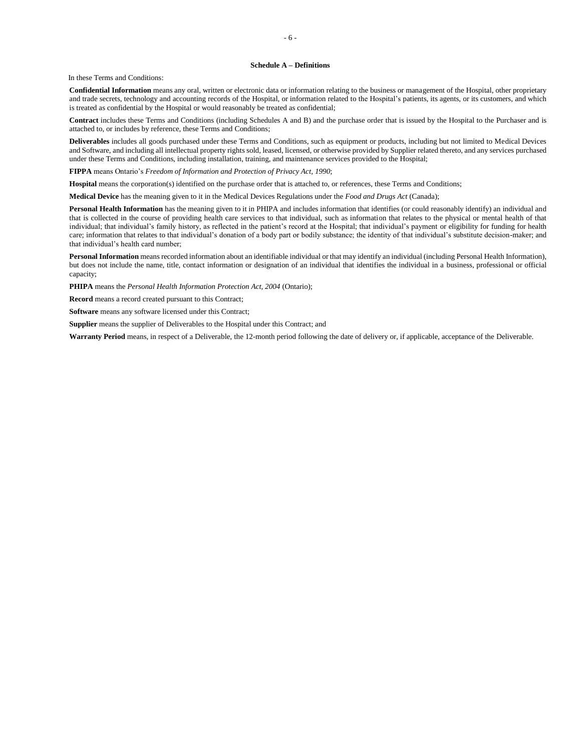#### **Schedule A – Definitions**

In these Terms and Conditions:

**Confidential Information** means any oral, written or electronic data or information relating to the business or management of the Hospital, other proprietary and trade secrets, technology and accounting records of the Hospital, or information related to the Hospital's patients, its agents, or its customers, and which is treated as confidential by the Hospital or would reasonably be treated as confidential;

**Contract** includes these Terms and Conditions (including Schedules A and B) and the purchase order that is issued by the Hospital to the Purchaser and is attached to, or includes by reference, these Terms and Conditions;

**Deliverables** includes all goods purchased under these Terms and Conditions, such as equipment or products, including but not limited to Medical Devices and Software, and including all intellectual property rights sold, leased, licensed, or otherwise provided by Supplier related thereto, and any services purchased under these Terms and Conditions, including installation, training, and maintenance services provided to the Hospital;

**FIPPA** means Ontario's *Freedom of Information and Protection of Privacy Act, 1990*;

**Hospital** means the corporation(s) identified on the purchase order that is attached to, or references, these Terms and Conditions;

**Medical Device** has the meaning given to it in the Medical Devices Regulations under the *Food and Drugs Act* (Canada);

Personal Health Information has the meaning given to it in PHIPA and includes information that identifies (or could reasonably identify) an individual and that is collected in the course of providing health care services to that individual, such as information that relates to the physical or mental health of that individual; that individual's family history, as reflected in the patient's record at the Hospital; that individual's payment or eligibility for funding for health care; information that relates to that individual's donation of a body part or bodily substance; the identity of that individual's substitute decision-maker; and that individual's health card number;

**Personal Information** means recorded information about an identifiable individual or that may identify an individual (including Personal Health Information), but does not include the name, title, contact information or designation of an individual that identifies the individual in a business, professional or official capacity;

**PHIPA** means the *Personal Health Information Protection Act, 2004* (Ontario);

**Record** means a record created pursuant to this Contract;

**Software** means any software licensed under this Contract;

**Supplier** means the supplier of Deliverables to the Hospital under this Contract; and

**Warranty Period** means, in respect of a Deliverable, the 12-month period following the date of delivery or, if applicable, acceptance of the Deliverable.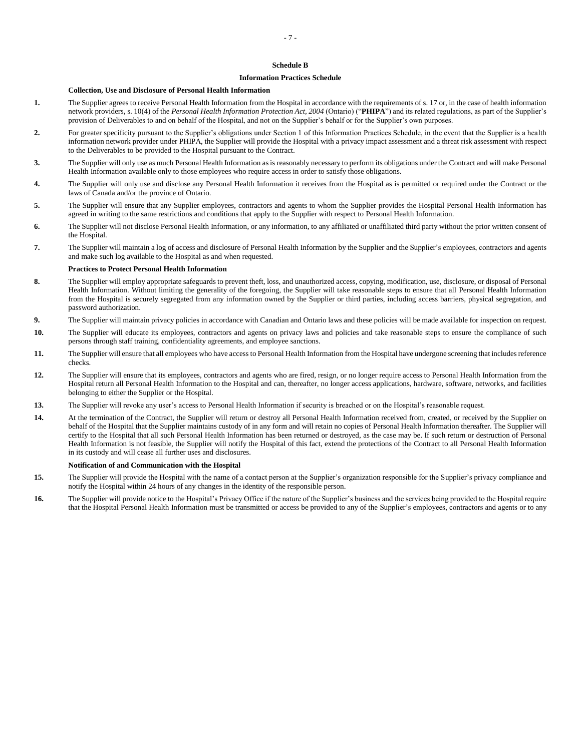#### **Schedule B**

#### **Information Practices Schedule**

#### **Collection, Use and Disclosure of Personal Health Information**

- **1.** The Supplier agrees to receive Personal Health Information from the Hospital in accordance with the requirements of s. 17 or, in the case of health information network providers, s. 10(4) of the *Personal Health Information Protection Act, 2004* (Ontario) ("**PHIPA**") and its related regulations, as part of the Supplier's provision of Deliverables to and on behalf of the Hospital, and not on the Supplier's behalf or for the Supplier's own purposes.
- **2.** For greater specificity pursuant to the Supplier's obligations under Section 1 of this Information Practices Schedule, in the event that the Supplier is a health information network provider under PHIPA, the Supplier will provide the Hospital with a privacy impact assessment and a threat risk assessment with respect to the Deliverables to be provided to the Hospital pursuant to the Contract.
- **3.** The Supplier will only use as much Personal Health Information as is reasonably necessary to perform its obligations under the Contract and will make Personal Health Information available only to those employees who require access in order to satisfy those obligations.
- **4.** The Supplier will only use and disclose any Personal Health Information it receives from the Hospital as is permitted or required under the Contract or the laws of Canada and/or the province of Ontario.
- **5.** The Supplier will ensure that any Supplier employees, contractors and agents to whom the Supplier provides the Hospital Personal Health Information has agreed in writing to the same restrictions and conditions that apply to the Supplier with respect to Personal Health Information.
- **6.** The Supplier will not disclose Personal Health Information, or any information, to any affiliated or unaffiliated third party without the prior written consent of the Hospital.
- **7.** The Supplier will maintain a log of access and disclosure of Personal Health Information by the Supplier and the Supplier's employees, contractors and agents and make such log available to the Hospital as and when requested.

### **Practices to Protect Personal Health Information**

- **8.** The Supplier will employ appropriate safeguards to prevent theft, loss, and unauthorized access, copying, modification, use, disclosure, or disposal of Personal Health Information. Without limiting the generality of the foregoing, the Supplier will take reasonable steps to ensure that all Personal Health Information from the Hospital is securely segregated from any information owned by the Supplier or third parties, including access barriers, physical segregation, and password authorization.
- **9.** The Supplier will maintain privacy policies in accordance with Canadian and Ontario laws and these policies will be made available for inspection on request.
- **10.** The Supplier will educate its employees, contractors and agents on privacy laws and policies and take reasonable steps to ensure the compliance of such persons through staff training, confidentiality agreements, and employee sanctions.
- **11.** The Supplier will ensure that all employees who have access to Personal Health Information from the Hospital have undergone screening that includes reference checks.
- **12.** The Supplier will ensure that its employees, contractors and agents who are fired, resign, or no longer require access to Personal Health Information from the Hospital return all Personal Health Information to the Hospital and can, thereafter, no longer access applications, hardware, software, networks, and facilities belonging to either the Supplier or the Hospital.
- **13.** The Supplier will revoke any user's access to Personal Health Information if security is breached or on the Hospital's reasonable request.
- **14.** At the termination of the Contract, the Supplier will return or destroy all Personal Health Information received from, created, or received by the Supplier on behalf of the Hospital that the Supplier maintains custody of in any form and will retain no copies of Personal Health Information thereafter. The Supplier will certify to the Hospital that all such Personal Health Information has been returned or destroyed, as the case may be. If such return or destruction of Personal Health Information is not feasible, the Supplier will notify the Hospital of this fact, extend the protections of the Contract to all Personal Health Information in its custody and will cease all further uses and disclosures.

#### **Notification of and Communication with the Hospital**

- **15.** The Supplier will provide the Hospital with the name of a contact person at the Supplier's organization responsible for the Supplier's privacy compliance and notify the Hospital within 24 hours of any changes in the identity of the responsible person.
- **16.** The Supplier will provide notice to the Hospital's Privacy Office if the nature of the Supplier's business and the services being provided to the Hospital require that the Hospital Personal Health Information must be transmitted or access be provided to any of the Supplier's employees, contractors and agents or to any